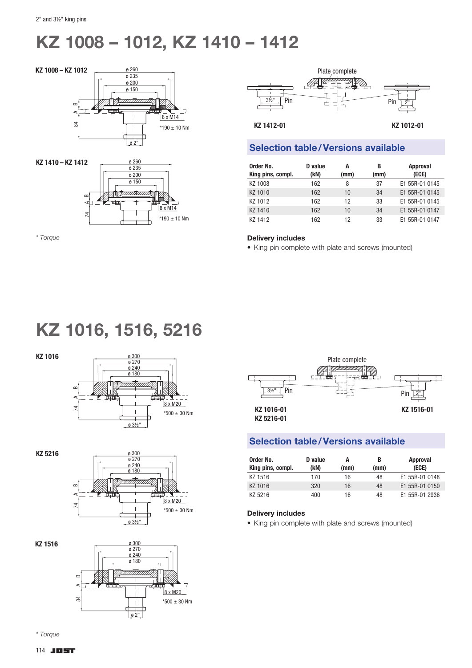# KZ 1008 – 1012, KZ 1410 – 1412





*\* Torque*



### Selection table/Versions available

| Order No.<br>King pins, compl. | D value<br>(kN) | A<br>(mm) | В<br>(mm) | <b>Approval</b><br>(ECE) |
|--------------------------------|-----------------|-----------|-----------|--------------------------|
| KZ 1008                        | 162             | 8         | 37        | E1 55R-01 0145           |
| KZ 1010                        | 162             | 10        | 34        | E1 55R-01 0145           |
| KZ 1012                        | 162             | 12        | 33        | E1 55R-01 0145           |
| KZ 1410                        | 162             | 10        | 34        | E1 55R-01 0147           |
| KZ 1412                        | 162             | 12        | 33        | E1 55R-01 0147           |

#### Delivery includes

• King pin complete with plate and screws (mounted)

## KZ 1016, 1516, 5216





KZ 5216



8 x M20

 $\overline{J}$ 







### Selection table/Versions available

| Order No.<br>King pins, compl. | D value<br>(kN) | A<br>(mm) | В<br>(mm) | Approval<br>(ECE) |
|--------------------------------|-----------------|-----------|-----------|-------------------|
| KZ 1516                        | 170             | 16        | 48        | E1 55R-01 0148    |
| KZ 1016                        | 320             | 16        | 48        | E1 55R-01 0150    |
| KZ 5216                        | 400             | 16        | 48        | E1 55R-01 2936    |

#### Delivery includes

• King pin complete with plate and screws (mounted)